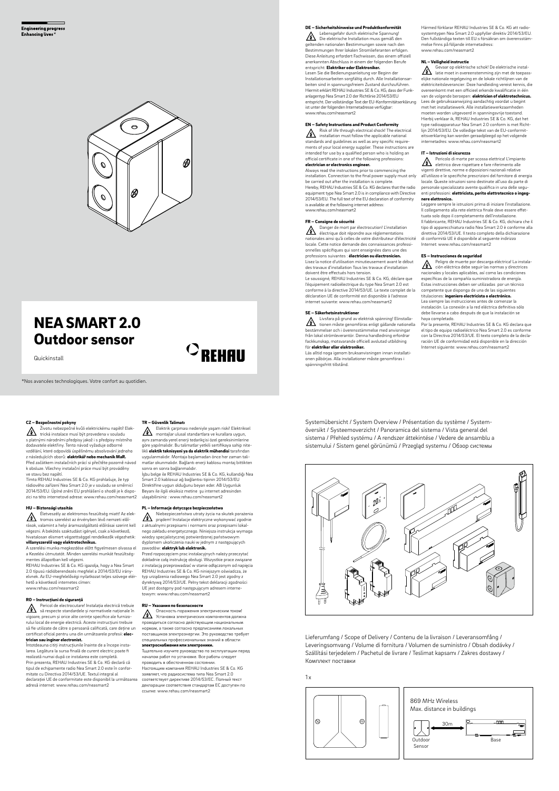

# NEA SMART 2.0 Outdoor sensor

**Quickinstall** 

\*Nos avancées technologiques. Votre confort au quotidien.

# DE – Sicherheitshinweise und Produktkonformität

Lebensgefahr durch elektrische Spannung! 公 Die elektrische Installation muss gemäß den geltenden nationalen Bestimmungen sowie nach den Bestimmungen Ihrer lokalen Stromlieferanten erfolgen. Diese Anleitung erfordert Fachwissen, das einem offiziell anerkannten Abschluss in einem der folgenden Berufe entspricht: Elektriker oder Elektroniker. Lesen Sie die Bedienungsanleitung vor Beginn der Installationsarbeiten sorgfältig durch. Alle Installationsar-

beiten sind in spannungsfreiem Zustand durchzuführen. Hiermit erklärt REHAU Industries SE & Co. KG, dass der Funkanlagentyp Nea Smart 2.0 der Richtlinie 2014/53/EU entspricht. Der vollständige Text der EU-Konformitätserklärung ist unter der folgenden Internetadresse verfügbar: www.rehau.com/neasmart2

## EN – Safety Instructions and Product Conformity

Risk of life through electrical shock! The electrical 公 installation must follow the applicable national standards and guidelines as well as any specific requirements of your local energy supplier. These instructions are intended for use by a qualified person who is holding an official certificate in one of the following professions: electrician or electronics engineer.

Always read the instructions prior to commencing the

installation. Connection to the final power supply must only be carried out after the installation is complete. Hereby, REHAU Industries SE & Co. KG declares that the radio equipment type Nea Smart 2.0 is in compliance with Directive 2014/53/EU. The full text of the EU declaration of conformity is available at the following internet address: www.rehau.com/neasmart2

## FR – Consigne de sécurité

Danger de mort par électrocution! L'installation Source de mort par electrocotions conserved de des électrique doit répondre aux réglementations nationales ainsi qu'à celles de votre distributeur d'électricité locale. Cette notice demande des connaissances professionnelles spécifiques qui sont enseignées dans une des professions suivantes : électricien ou électronicien. Lisez la notice d'utilisation minutieusement avant le début des travaux d'installation Tous les travaux d'installation doivent être effectués hors tension.

Le soussigné, REHAU Industries SE & Co. KG, déclare que l'équipement radioélectrique du type Nea Smart 2.0 est conforme à la directive 2014/53/UE. Le texte complet de la déclaration UE de conformité est disponible à l'adresse internet suivante: www.rehau.com/neasmart2

## SE – Säkerhetsinstruktioner

Livsfara på grund av elektrisk spänning! Elinstalla- $\mathbb{A}$ tionen måste genomföras enligt gällande nationella bestämmelser och i överensstämmelse med anvisningar från lokal strömleverantör. Denna handledning erfordrar fackkunskap, motsvarande officiell avslutad utbildning för elektriker eller elektroniker.

# Läs alltid noga igenom bruksanvisningen innan installati-

onen påbörjas. Alla installationer måste genomföras i spänningsfritt tillstånd.

# TR – Güvenlik Talimatı

Elektrik çarpması nedeniyle yaşam riski! Elektriksel  $\sum$  Elektrik çarpından neuemyle yeşemi<br>montajlar ulusal standartlara ve kurallara uygun, aynı zamanda yerel enerji tedarikçisi özel gereksinimlerine göre yapılmalıdır. Bu talimatlar yetkili sertifikaya sahip nitelikli elektik teknisyeni ya da elektrik mühendisi tarafından uygulanmalıdır. Montaja başlamadan önce her zaman talimatlar okunmalıdır. Bağlantı enerji kablosu montaj bittikten sonra en sonra bağlanmalıdır.

İşbu belge ile REHAU Industries SE & Co. KG, kullandığı Nea Smart 2.0 kablosuz ağ bağlantısı tipinin 2014/53/EU Direktifine uygun olduğunu beyan eder. AB Uygunluk Beyanı ile ilgili eksiksiz metine şu internet adresinden ulaşabilirsiniz : www.rehau.com/neasmart2

## PL – Informacje dotyczące bezpieczeństwa

Niebezpieczeństwo utraty życia na skutek porażenia prądem! Instalacje elektryczne wykonywać zgodnie z aktualnymi przepisami i normami oraz przepisami lokalnego zakładu energetycznego. Niniejsza instrukcja wymaga wiedzy specjalistycznej potwierdzonej państwowym dyplomem ukończenia nauki w jednym z następujących zawodów: elektryk lub elektronik.

Przed rozpoczęciem prac instalacyjnych należy przeczytać dokładnie całą instrukcję obsługi. Wszystkie prace związane z instalacją przeprowadzać w stanie odłączonym od napięcia REHAU Industries SE & Co. KG niniejszym oświadcza, że typ urządzenia radiowego Nea Smart 2.0 jest zgodny z dyrektywą 2014/53/UE. Pełny tekst deklaracji zgodności UE jest dostępny pod następującym adresem internetowym: www.rehau.com/neasmart2

#### RU – Указания по безопасности

Опасность поражения электрическим током! Установка электрических компонентов должна<br>Установка электрических компонентов должна проводиться согласно действующим национальным нормам, а также согласно предписаниям локальных поставщиков электроэнергии. Это руководство требует специальных профессиональных знаний в области

## электроснабжения или электроники.

Тщательно изучите руководство по эксплуатации перед началом работ по установке. Все работы следует проводить в обесточенном состоянии. Настоящим компания REHAU Industries SE & Co. KG заявляет, что радиосистема типа Nea Smart 2.0 соответствует директиве 2014/53/ЕС. Полный текст декларации соответствия стандартам ЕС доступен по ссылке: www.rehau.com/neasmart2

**AND** ₩

## CZ – Bezpečnostní pokyny

Životu nebezpečné kvůli elektrickému napětí! Elek-**A** <sup>Zivotu neuezpeche wyw.com....<br>trická instalace musí být provedena v souladu</sup> s platnými národními předpisy jakož i s předpisy místního dodavatele elektřiny. Tento návod vyžaduje odborné vzdělání, které odpovídá úspěšnému absolvování jednoho z následujících oborů: elektrikář nebo mechanik MaR. Před začátkem instalačních prácí si přečtěte pozorně návod k obsluze. Všechny instalační práce musí být prováděny ve stavu bez napětí.

Tímto REHAU Industries SE & Co. KG prohlašuje, že typ rádiového zařízení Nea Smart 2.0 je v souladu se směrnicí 2014/53/EU. Úplné znění EU prohlášení o shodě je k dispozici na této internetové adrese: www.rehau.com/neasmart2

## HU – Biztonsági utasítás

Életveszély az elektromos feszültség miatt! Az elek-Eletveszely az elektromos reszontoly ..........<br>tromos szerelést az érvényben lévő nemzeti előírások, valamint a helyi áramszolgáltató előírásai szerint kell végezni. A bekötés szaktudást igényel, csak a következő, hivatalosan elismert végzettséggel rendelkezők végezhetik: villanyszerelő vagy elektrotechnikus.

A szerelési munka megkezdése előtt figyelmesen olvassa el a Kezelési útmutatót. Minden szerelési munkát feszültségmentes állapotban kell végezni.

REHAU Industries SE & Co. KG igazolja, hogy a Nea Smart 2.0 típusú rádióberendezés megfelel a 2014/53/EU irányelvnek. Az EU-megfelelőségi nyilatkozat teljes szövege elérhető a következő internetes címen: www.rehau.com/neasmart2

## RO – Instrucțiuni de siguranță

Pericol de electrocutare! Instalația electrică trebuie să respecte standardele și normativele naționale în vigoare, precum și orice alte cerințe specifice ale furnizorului local de energie electrică. Aceste instrucțiuni trebuie să fie utilizate de către o persoană calificată, care deține un certificat oficial pentru una din următoarele profesii: electrician sau inginer electronist.

Întotdeauna citiți instrucțiunile înainte de a începe instalarea. Legătura la sursa finală de curent electric poate fi realizată numai după ce instalarea este completă. Prin prezenta, REHAU Industries SE & Co. KG declară că tipul de echipamente radio Nea Smart 2.0 este în conformitate cu Directiva 2014/53/UE. Textul integral al declarației UE de conformitate este disponibil la următoarea adresă internet: www.rehau.com/neasmart2

Härmed förklarar REHAU Industries SE & Co. KG att radiosystemtypen Nea Smart 2.0 uppfyller direktiv 2014/53/EU. Den fullständiga texten till EU:s försäkran om överensstämmelse finns på följande internetadress: www.rehau.com/neasmart2

## NL – Veiligheid instructie

Gevaar op elektrische schok! De elektrische instal**latie moet in overeenstemming zijn met de toepass-**<br>Latie moet in overeenstemming zijn met de toepasselijke nationale regelgeving en de lokale richtlijnen van de elektriciteitsleverancier. Deze handleiding vereist kennis, die overeenkomt met een officieel erkende kwalificatie in één van de volgende beroepen: elektricien of elektrotechnicus. Lees de gebruiksaanwijzing aandachtig voordat u begint met het installatiewerk. Alle installatiewerkzaamheden moeten worden uitgevoerd in spanningsvrije toestand. Hierbij verklaar ik, REHAU Industries SE & Co. KG, dat het type radioapparatuur Nea Smart 2.0 conform is met Richtlijn 2014/53/EU. De volledige tekst van de EU-conformiteitsverklaring kan worden geraadpleegd op het volgende internetadres: www.rehau.com/neasmart2

## IT – Istruzioni di sicurezza

Pericolo di morte per scossa elettrica! L'impianto  $\sum$  Periculu di monde per secondo riferimento alle vigenti direttive, norme e diposizioni nazionali relative all'utilizzo e le specifiche prescrizioni del fornitore di energia locale. Queste istruzioni sono destinate all'uso da parte di personale specializzato avente qualifica in una delle seguenti professioni: elettricista, perito elettrotecnico o ingegnere elettronico.

Leggere sempre le istruzioni prima di iniziare l'installazione. Il collegamento alla rete elettrica finale deve essere effettuata solo dopo il completamento dell'installazione. Il fabbricante, REHAU Industries SE & Co. KG, dichiara che il tipo di apparecchiatura radio Nea Smart 2.0 è conforme alla direttiva 2014/53/UE. Il testo completo della dichiarazione di conformità UE è disponibile al seguente indirizzo Internet: www.rehau.com/neasmart2

## ES – Instrucciones de seguridad

Peligro de muerte por descarga eléctrica! La instala- $\sum$  reugno de madrido por deceder as normas y directrices nacionales y locales aplicables, así como las condiciones específicas de la compañía suministradora de energía. Estas instrucciones deben ser utilizadas por un técnico competente que disponga de una de las siguientes titulaciones: ingeniero electricista o electrónico. Lea siempre las instrucciones antes de comenzar la instalación. La conexión a la red eléctrica definitiva sólo

debe llevarse a cabo después de que la instalación se haya completado.

Por la presente, REHAU Industries SE & Co. KG declara que el tipo de equipo radioeléctrico Nea Smart 2.0 es conforme con la Directiva 2014/53/UE. El texto completo de la declaración UE de conformidad está disponible en la dirección Internet siguiente: www.rehau.com/neasmart2

Systemübersicht / System Overview / Présentation du système / Systemöversikt / Systeemoverzicht / Panoramica del sistema / Vista general del sistema / Přehled systému / A rendszer áttekintése / Vedere de ansamblu a sistemului / Sistem genel görünümü / Przegląd systemu / Обзор системы



 ${^C}$ REHAU

Lieferumfang / Scope of Delivery / Contenu de la livraison / Leveransomfång / Leveringsomvang / Volume di fornitura / Volumen de suministro / Obsah dodávky / Szállítási terjedelem / Pachetul de livrare / Teslimat kapsamı / Zakres dostawy / Комплект поставки

 $1x$ 

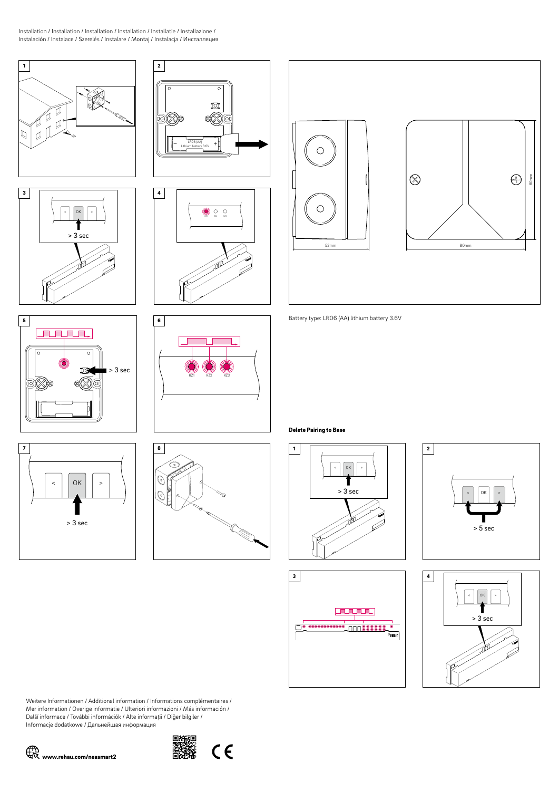Installation / Installation / Installation / Installation / Installatie / Installazione / Instalación / Instalace / Szerelés / Instalare / Montaj / Instalacja / Инсталляция

Weitere Informationen / Additional information / Informations complémentaires / Mer information / Overige informatie / Ulteriori informazioni / Más información / Další informace / További információk / Alte informații / Diğer bilgiler / Informacje dodatkowe / Дальнейшая информация



















Battery type: LR06 (AA) lithium battery 3.6V





# Delete Pairing to Base